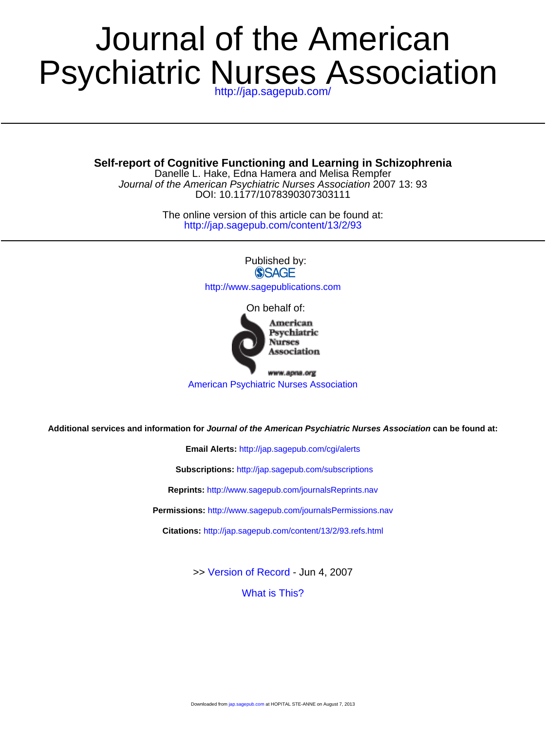# Psychiatric Nurses Association Journal of the American

**Self-report of Cognitive Functioning and Learning in Schizophrenia**

DOI: 10.1177/1078390307303111 Journal of the American Psychiatric Nurses Association 2007 13: 93 Danelle L. Hake, Edna Hamera and Melisa Rempfer

> <http://jap.sagepub.com/content/13/2/93> The online version of this article can be found at:

> > Published by:<br>
> > SAGE <http://www.sagepublications.com> On behalf of: American



www.apna.org [American Psychiatric Nurses Association](http://www.apna.org)

**Additional services and information for Journal of the American Psychiatric Nurses Association can be found at:**

**Email Alerts:** <http://jap.sagepub.com/cgi/alerts>

**Subscriptions:** <http://jap.sagepub.com/subscriptions>

**Reprints:** <http://www.sagepub.com/journalsReprints.nav>

**Permissions:** <http://www.sagepub.com/journalsPermissions.nav>

**Citations:** <http://jap.sagepub.com/content/13/2/93.refs.html>

>> [Version of Record -](http://jap.sagepub.com/content/13/2/93.full.pdf) Jun 4, 2007

[What is This?](http://online.sagepub.com/site/sphelp/vorhelp.xhtml)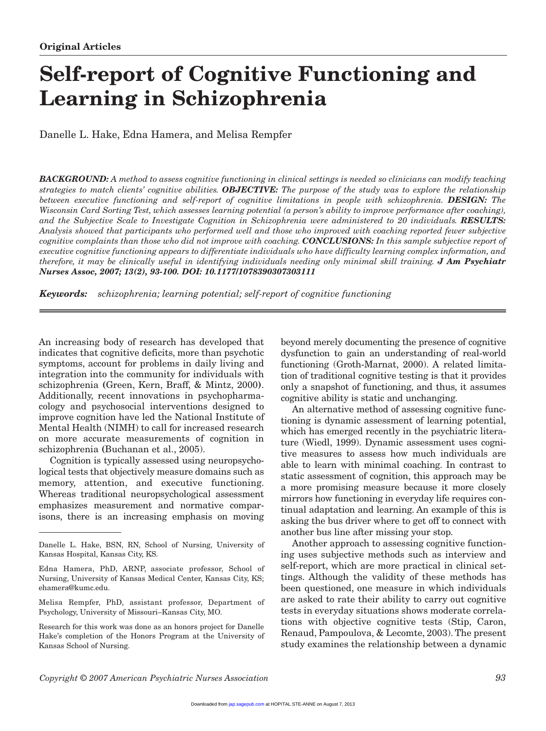# **Self-report of Cognitive Functioning and Learning in Schizophrenia**

Danelle L. Hake, Edna Hamera, and Melisa Rempfer

*BACKGROUND: A method to assess cognitive functioning in clinical settings is needed so clinicians can modify teaching strategies to match clients' cognitive abilities. OBJECTIVE: The purpose of the study was to explore the relationship between executive functioning and self-report of cognitive limitations in people with schizophrenia. DESIGN: The Wisconsin Card Sorting Test, which assesses learning potential (a person's ability to improve performance after coaching), and the Subjective Scale to Investigate Cognition in Schizophrenia were administered to 20 individuals. RESULTS: Analysis showed that participants who performed well and those who improved with coaching reported fewer subjective cognitive complaints than those who did not improve with coaching. CONCLUSIONS: In this sample subjective report of executive cognitive functioning appears to differentiate individuals who have difficulty learning complex information, and therefore, it may be clinically useful in identifying individuals needing only minimal skill training. J Am Psychiatr Nurses Assoc, 2007; 13(2), 93-100. DOI: 10.1177/1078390307303111*

*Keywords: schizophrenia; learning potential; self-report of cognitive functioning*

An increasing body of research has developed that indicates that cognitive deficits, more than psychotic symptoms, account for problems in daily living and integration into the community for individuals with schizophrenia **(**Green, Kern, Braff, & Mintz, 2000**)**. Additionally, recent innovations in psychopharmacology and psychosocial interventions designed to improve cognition have led the National Institute of Mental Health (NIMH) to call for increased research on more accurate measurements of cognition in schizophrenia **(**Buchanan et al., 2005).

Cognition is typically assessed using neuropsychological tests that objectively measure domains such as memory, attention, and executive functioning. Whereas traditional neuropsychological assessment emphasizes measurement and normative comparisons, there is an increasing emphasis on moving

Melisa Rempfer, PhD, assistant professor, Department of Psychology, University of Missouri–Kansas City, MO.

Research for this work was done as an honors project for Danelle Hake's completion of the Honors Program at the University of Kansas School of Nursing.

beyond merely documenting the presence of cognitive dysfunction to gain an understanding of real-world functioning (Groth-Marnat, 2000). A related limitation of traditional cognitive testing is that it provides only a snapshot of functioning, and thus, it assumes cognitive ability is static and unchanging.

An alternative method of assessing cognitive functioning is dynamic assessment of learning potential, which has emerged recently in the psychiatric literature (Wiedl, 1999). Dynamic assessment uses cognitive measures to assess how much individuals are able to learn with minimal coaching. In contrast to static assessment of cognition, this approach may be a more promising measure because it more closely mirrors how functioning in everyday life requires continual adaptation and learning. An example of this is asking the bus driver where to get off to connect with another bus line after missing your stop.

Another approach to assessing cognitive functioning uses subjective methods such as interview and self-report, which are more practical in clinical settings. Although the validity of these methods has been questioned, one measure in which individuals are asked to rate their ability to carry out cognitive tests in everyday situations shows moderate correlations with objective cognitive tests (Stip, Caron, Renaud, Pampoulova, & Lecomte, 2003). The present study examines the relationship between a dynamic

Danelle L. Hake, BSN, RN, School of Nursing, University of Kansas Hospital, Kansas City, KS.

Edna Hamera, PhD, ARNP, associate professor, School of Nursing, University of Kansas Medical Center, Kansas City, KS; ehamera@kumc.edu.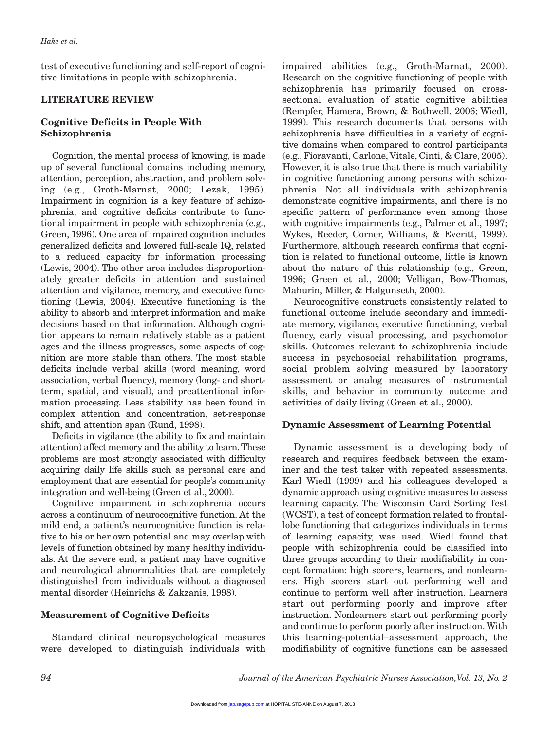test of executive functioning and self-report of cognitive limitations in people with schizophrenia.

# **LITERATURE REVIEW**

# **Cognitive Deficits in People With Schizophrenia**

Cognition, the mental process of knowing, is made up of several functional domains including memory, attention, perception, abstraction, and problem solving (e.g., Groth-Marnat, 2000; Lezak, 1995). Impairment in cognition is a key feature of schizophrenia, and cognitive deficits contribute to functional impairment in people with schizophrenia (e.g., Green, 1996). One area of impaired cognition includes generalized deficits and lowered full-scale IQ, related to a reduced capacity for information processing (Lewis, 2004). The other area includes disproportionately greater deficits in attention and sustained attention and vigilance, memory, and executive functioning (Lewis, 2004). Executive functioning is the ability to absorb and interpret information and make decisions based on that information. Although cognition appears to remain relatively stable as a patient ages and the illness progresses, some aspects of cognition are more stable than others. The most stable deficits include verbal skills (word meaning, word association, verbal fluency), memory (long- and shortterm, spatial, and visual), and preattentional information processing. Less stability has been found in complex attention and concentration, set-response shift, and attention span (Rund, 1998).

Deficits in vigilance (the ability to fix and maintain attention) affect memory and the ability to learn.These problems are most strongly associated with difficulty acquiring daily life skills such as personal care and employment that are essential for people's community integration and well-being (Green et al., 2000).

Cognitive impairment in schizophrenia occurs across a continuum of neurocognitive function. At the mild end, a patient's neurocognitive function is relative to his or her own potential and may overlap with levels of function obtained by many healthy individuals. At the severe end, a patient may have cognitive and neurological abnormalities that are completely distinguished from individuals without a diagnosed mental disorder (Heinrichs & Zakzanis, 1998).

# **Measurement of Cognitive Deficits**

Standard clinical neuropsychological measures were developed to distinguish individuals with impaired abilities (e.g., Groth-Marnat, 2000). Research on the cognitive functioning of people with schizophrenia has primarily focused on crosssectional evaluation of static cognitive abilities (Rempfer, Hamera, Brown, & Bothwell, 2006; Wiedl, 1999). This research documents that persons with schizophrenia have difficulties in a variety of cognitive domains when compared to control participants (e.g., Fioravanti, Carlone, Vitale, Cinti, & Clare, 2005). However, it is also true that there is much variability in cognitive functioning among persons with schizophrenia. Not all individuals with schizophrenia demonstrate cognitive impairments, and there is no specific pattern of performance even among those with cognitive impairments (e.g., Palmer et al., 1997; Wykes, Reeder, Corner, Williams, & Everitt, 1999). Furthermore, although research confirms that cognition is related to functional outcome, little is known about the nature of this relationship (e.g., Green, 1996; Green et al., 2000; Velligan, Bow-Thomas, Mahurin, Miller, & Halgunseth, 2000).

Neurocognitive constructs consistently related to functional outcome include secondary and immediate memory, vigilance, executive functioning, verbal fluency, early visual processing, and psychomotor skills. Outcomes relevant to schizophrenia include success in psychosocial rehabilitation programs, social problem solving measured by laboratory assessment or analog measures of instrumental skills, and behavior in community outcome and activities of daily living (Green et al., 2000).

# **Dynamic Assessment of Learning Potential**

Dynamic assessment is a developing body of research and requires feedback between the examiner and the test taker with repeated assessments. Karl Wiedl (1999) and his colleagues developed a dynamic approach using cognitive measures to assess learning capacity. The Wisconsin Card Sorting Test (WCST), a test of concept formation related to frontallobe functioning that categorizes individuals in terms of learning capacity, was used. Wiedl found that people with schizophrenia could be classified into three groups according to their modifiability in concept formation: high scorers, learners, and nonlearners. High scorers start out performing well and continue to perform well after instruction. Learners start out performing poorly and improve after instruction. Nonlearners start out performing poorly and continue to perform poorly after instruction. With this learning-potential–assessment approach, the modifiability of cognitive functions can be assessed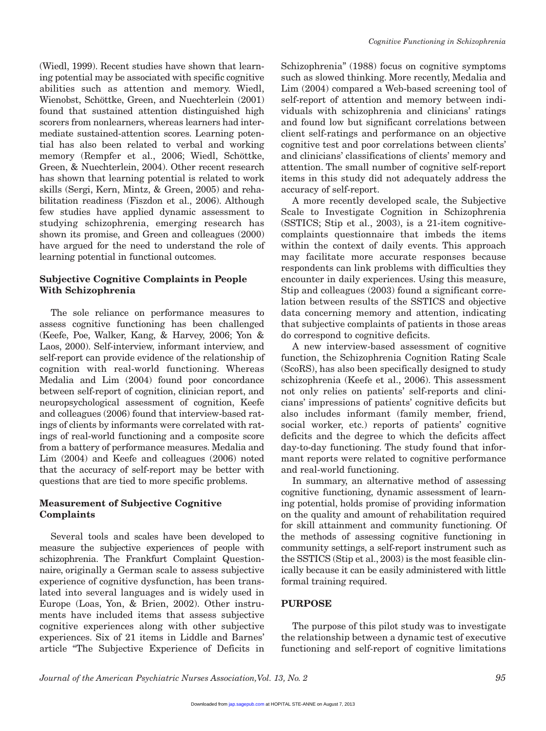(Wiedl, 1999). Recent studies have shown that learning potential may be associated with specific cognitive abilities such as attention and memory. Wiedl, Wienobst, Schöttke, Green, and Nuechterlein (2001) found that sustained attention distinguished high scorers from nonlearners, whereas learners had intermediate sustained-attention scores. Learning potential has also been related to verbal and working memory (Rempfer et al., 2006; Wiedl, Schöttke, Green, & Nuechterlein, 2004). Other recent research has shown that learning potential is related to work skills (Sergi, Kern, Mintz, & Green, 2005) and rehabilitation readiness (Fiszdon et al., 2006). Although few studies have applied dynamic assessment to studying schizophrenia, emerging research has shown its promise, and Green and colleagues (2000) have argued for the need to understand the role of learning potential in functional outcomes.

#### **Subjective Cognitive Complaints in People With Schizophrenia**

The sole reliance on performance measures to assess cognitive functioning has been challenged (Keefe, Poe, Walker, Kang, & Harvey, 2006; Yon & Laos, 2000). Self-interview, informant interview, and self-report can provide evidence of the relationship of cognition with real-world functioning. Whereas Medalia and Lim (2004) found poor concordance between self-report of cognition, clinician report, and neuropsychological assessment of cognition, Keefe and colleagues (2006) found that interview-based ratings of clients by informants were correlated with ratings of real-world functioning and a composite score from a battery of performance measures. Medalia and Lim (2004) and Keefe and colleagues (2006) noted that the accuracy of self-report may be better with questions that are tied to more specific problems.

## **Measurement of Subjective Cognitive Complaints**

Several tools and scales have been developed to measure the subjective experiences of people with schizophrenia. The Frankfurt Complaint Questionnaire, originally a German scale to assess subjective experience of cognitive dysfunction, has been translated into several languages and is widely used in Europe (Loas, Yon, & Brien, 2002). Other instruments have included items that assess subjective cognitive experiences along with other subjective experiences. Six of 21 items in Liddle and Barnes' article "The Subjective Experience of Deficits in Schizophrenia" (1988) focus on cognitive symptoms such as slowed thinking. More recently, Medalia and Lim (2004) compared a Web-based screening tool of self-report of attention and memory between individuals with schizophrenia and clinicians' ratings and found low but significant correlations between client self-ratings and performance on an objective cognitive test and poor correlations between clients' and clinicians' classifications of clients' memory and attention. The small number of cognitive self-report items in this study did not adequately address the accuracy of self-report.

A more recently developed scale, the Subjective Scale to Investigate Cognition in Schizophrenia (SSTICS; Stip et al., 2003), is a 21-item cognitivecomplaints questionnaire that imbeds the items within the context of daily events. This approach may facilitate more accurate responses because respondents can link problems with difficulties they encounter in daily experiences. Using this measure, Stip and colleagues (2003) found a significant correlation between results of the SSTICS and objective data concerning memory and attention, indicating that subjective complaints of patients in those areas do correspond to cognitive deficits.

A new interview-based assessment of cognitive function, the Schizophrenia Cognition Rating Scale (ScoRS), has also been specifically designed to study schizophrenia (Keefe et al., 2006). This assessment not only relies on patients' self-reports and clinicians' impressions of patients' cognitive deficits but also includes informant (family member, friend, social worker, etc.) reports of patients' cognitive deficits and the degree to which the deficits affect day-to-day functioning. The study found that informant reports were related to cognitive performance and real-world functioning.

In summary, an alternative method of assessing cognitive functioning, dynamic assessment of learning potential, holds promise of providing information on the quality and amount of rehabilitation required for skill attainment and community functioning. Of the methods of assessing cognitive functioning in community settings, a self-report instrument such as the SSTICS (Stip et al., 2003) is the most feasible clinically because it can be easily administered with little formal training required.

#### **PURPOSE**

The purpose of this pilot study was to investigate the relationship between a dynamic test of executive functioning and self-report of cognitive limitations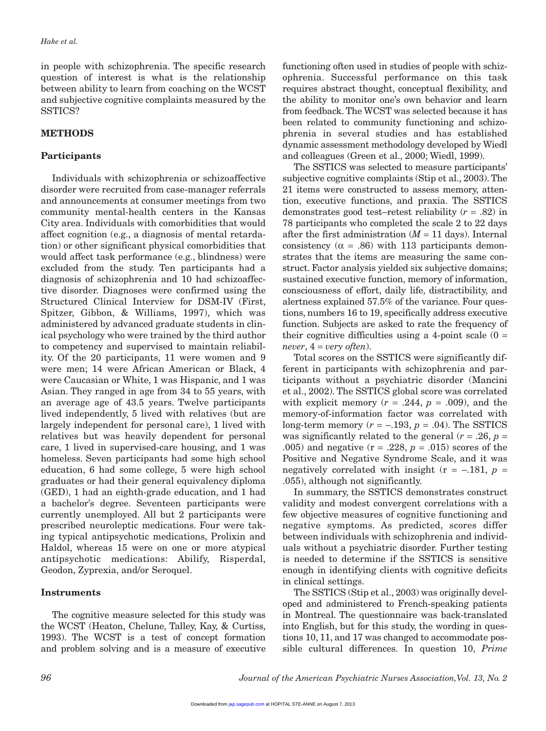in people with schizophrenia. The specific research question of interest is what is the relationship between ability to learn from coaching on the WCST and subjective cognitive complaints measured by the SSTICS?

## **METHODS**

## **Participants**

Individuals with schizophrenia or schizoaffective disorder were recruited from case-manager referrals and announcements at consumer meetings from two community mental-health centers in the Kansas City area. Individuals with comorbidities that would affect cognition (e.g., a diagnosis of mental retardation) or other significant physical comorbidities that would affect task performance (e.g., blindness) were excluded from the study. Ten participants had a diagnosis of schizophrenia and 10 had schizoaffective disorder. Diagnoses were confirmed using the Structured Clinical Interview for DSM-IV (First, Spitzer, Gibbon, & Williams, 1997), which was administered by advanced graduate students in clinical psychology who were trained by the third author to competency and supervised to maintain reliability. Of the 20 participants, 11 were women and 9 were men; 14 were African American or Black, 4 were Caucasian or White, 1 was Hispanic, and 1 was Asian. They ranged in age from 34 to 55 years, with an average age of 43.5 years. Twelve participants lived independently, 5 lived with relatives (but are largely independent for personal care), 1 lived with relatives but was heavily dependent for personal care, 1 lived in supervised-care housing, and 1 was homeless. Seven participants had some high school education, 6 had some college, 5 were high school graduates or had their general equivalency diploma (GED), 1 had an eighth-grade education, and 1 had a bachelor's degree. Seventeen participants were currently unemployed. All but 2 participants were prescribed neuroleptic medications. Four were taking typical antipsychotic medications, Prolixin and Haldol, whereas 15 were on one or more atypical antipsychotic medications: Abilify, Risperdal, Geodon, Zyprexia, and/or Seroquel.

## **Instruments**

The cognitive measure selected for this study was the WCST (Heaton, Chelune, Talley, Kay, & Curtiss, 1993). The WCST is a test of concept formation and problem solving and is a measure of executive functioning often used in studies of people with schizophrenia. Successful performance on this task requires abstract thought, conceptual flexibility, and the ability to monitor one's own behavior and learn from feedback. The WCST was selected because it has been related to community functioning and schizophrenia in several studies and has established dynamic assessment methodology developed by Wiedl and colleagues (Green et al., 2000; Wiedl, 1999).

The SSTICS was selected to measure participants' subjective cognitive complaints (Stip et al., 2003). The 21 items were constructed to assess memory, attention, executive functions, and praxia. The SSTICS demonstrates good test–retest reliability (*r* = .82) in 78 participants who completed the scale 2 to 22 days after the first administration  $(M = 11$  days). Internal consistency ( $\alpha$  = .86) with 113 participants demonstrates that the items are measuring the same construct. Factor analysis yielded six subjective domains; sustained executive function, memory of information, consciousness of effort, daily life, distractibility, and alertness explained 57.5% of the variance. Four questions, numbers 16 to 19, specifically address executive function. Subjects are asked to rate the frequency of their cognitive difficulties using a 4-point scale  $(0 =$ *never*, 4 = *very often*).

Total scores on the SSTICS were significantly different in participants with schizophrenia and participants without a psychiatric disorder (Mancini et al., 2002). The SSTICS global score was correlated with explicit memory  $(r = .244, p = .009)$ , and the memory-of-information factor was correlated with long-term memory  $(r = -.193, p = .04)$ . The SSTICS was significantly related to the general  $(r = .26, p =$ .005) and negative  $(r = .228, p = .015)$  scores of the Positive and Negative Syndrome Scale, and it was negatively correlated with insight  $(r = -.181, p =$ .055), although not significantly.

In summary, the SSTICS demonstrates construct validity and modest convergent correlations with a few objective measures of cognitive functioning and negative symptoms. As predicted, scores differ between individuals with schizophrenia and individuals without a psychiatric disorder. Further testing is needed to determine if the SSTICS is sensitive enough in identifying clients with cognitive deficits in clinical settings.

The SSTICS (Stip et al., 2003) was originally developed and administered to French-speaking patients in Montreal. The questionnaire was back-translated into English, but for this study, the wording in questions 10, 11, and 17 was changed to accommodate possible cultural differences. In question 10, *Prime*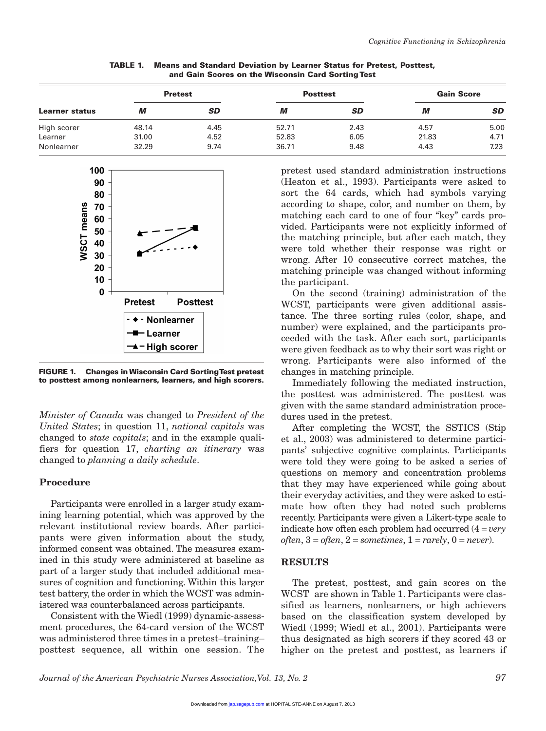| Learner status | <b>Pretest</b> |           | <b>Posttest</b> |           | <b>Gain Score</b> |           |
|----------------|----------------|-----------|-----------------|-----------|-------------------|-----------|
|                | M              | <b>SD</b> | М               | <b>SD</b> | М                 | <b>SD</b> |
| High scorer    | 48.14          | 4.45      | 52.71           | 2.43      | 4.57              | 5.00      |
| Learner        | 31.00          | 4.52      | 52.83           | 6.05      | 21.83             | 4.71      |
| Nonlearner     | 32.29          | 9.74      | 36.71           | 9.48      | 4.43              | 7.23      |

**TABLE 1. Means and Standard Deviation by Learner Status for Pretest, Posttest, and Gain Scores on the Wisconsin Card Sorting Test**



**FIGURE 1. Changes in Wisconsin Card Sorting Test pretest to posttest among nonlearners, learners, and high scorers.**

*Minister of Canada* was changed to *President of the United States*; in question 11, *national capitals* was changed to *state capitals*; and in the example qualifiers for question 17, *charting an itinerary* was changed to *planning a daily schedule*.

#### **Procedure**

Participants were enrolled in a larger study examining learning potential, which was approved by the relevant institutional review boards. After participants were given information about the study, informed consent was obtained. The measures examined in this study were administered at baseline as part of a larger study that included additional measures of cognition and functioning. Within this larger test battery, the order in which the WCST was administered was counterbalanced across participants.

Consistent with the Wiedl (1999) dynamic-assessment procedures, the 64-card version of the WCST was administered three times in a pretest–training– posttest sequence, all within one session. The pretest used standard administration instructions (Heaton et al., 1993). Participants were asked to sort the 64 cards, which had symbols varying according to shape, color, and number on them, by matching each card to one of four "key" cards provided. Participants were not explicitly informed of the matching principle, but after each match, they were told whether their response was right or wrong. After 10 consecutive correct matches, the matching principle was changed without informing the participant.

On the second (training) administration of the WCST, participants were given additional assistance. The three sorting rules (color, shape, and number) were explained, and the participants proceeded with the task. After each sort, participants were given feedback as to why their sort was right or wrong. Participants were also informed of the changes in matching principle.

Immediately following the mediated instruction, the posttest was administered. The posttest was given with the same standard administration procedures used in the pretest.

After completing the WCST, the SSTICS (Stip et al., 2003) was administered to determine participants' subjective cognitive complaints. Participants were told they were going to be asked a series of questions on memory and concentration problems that they may have experienced while going about their everyday activities, and they were asked to estimate how often they had noted such problems recently. Participants were given a Likert-type scale to indicate how often each problem had occurred (4 = *very*  $of ten, 3 = often, 2 = sometimes, 1 = rarely, 0 = never).$ 

#### **RESULTS**

The pretest, posttest, and gain scores on the WCST are shown in Table 1. Participants were classified as learners, nonlearners, or high achievers based on the classification system developed by Wiedl (1999; Wiedl et al., 2001). Participants were thus designated as high scorers if they scored 43 or higher on the pretest and posttest, as learners if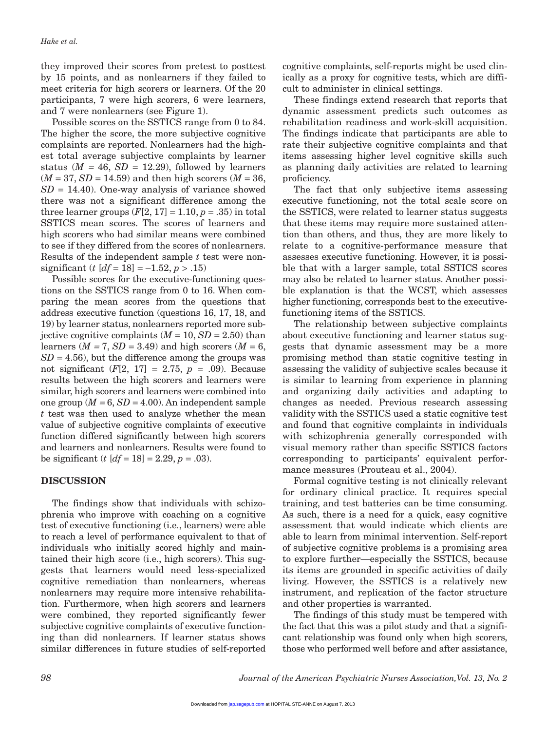they improved their scores from pretest to posttest by 15 points, and as nonlearners if they failed to meet criteria for high scorers or learners. Of the 20 participants, 7 were high scorers, 6 were learners, and 7 were nonlearners (see Figure 1).

Possible scores on the SSTICS range from 0 to 84. The higher the score, the more subjective cognitive complaints are reported. Nonlearners had the highest total average subjective complaints by learner status  $(M = 46, SD = 12.29)$ , followed by learners  $(M = 37, SD = 14.59)$  and then high scorers  $(M = 36,$  $SD = 14.40$ . One-way analysis of variance showed there was not a significant difference among the three learner groups  $(F[2, 17] = 1.10, p = .35)$  in total SSTICS mean scores. The scores of learners and high scorers who had similar means were combined to see if they differed from the scores of nonlearners. Results of the independent sample *t* test were nonsignificant (*t*  $[df = 18] = -1.52, p > .15$ )

Possible scores for the executive-functioning questions on the SSTICS range from 0 to 16. When comparing the mean scores from the questions that address executive function (questions 16, 17, 18, and 19) by learner status, nonlearners reported more subjective cognitive complaints  $(M = 10, SD = 2.50)$  than learners ( $M = 7$ ,  $SD = 3.49$ ) and high scorers ( $M = 6$ ,  $SD = 4.56$ , but the difference among the groups was not significant  $(F[2, 17] = 2.75, p = .09)$ . Because results between the high scorers and learners were similar, high scorers and learners were combined into one group  $(M = 6, SD = 4.00)$ . An independent sample *t* test was then used to analyze whether the mean value of subjective cognitive complaints of executive function differed significantly between high scorers and learners and nonlearners. Results were found to be significant (*t*  $[df = 18] = 2.29, p = .03$ ).

## **DISCUSSION**

The findings show that individuals with schizophrenia who improve with coaching on a cognitive test of executive functioning (i.e., learners) were able to reach a level of performance equivalent to that of individuals who initially scored highly and maintained their high score (i.e., high scorers). This suggests that learners would need less-specialized cognitive remediation than nonlearners, whereas nonlearners may require more intensive rehabilitation. Furthermore, when high scorers and learners were combined, they reported significantly fewer subjective cognitive complaints of executive functioning than did nonlearners. If learner status shows similar differences in future studies of self-reported

cognitive complaints, self-reports might be used clinically as a proxy for cognitive tests, which are difficult to administer in clinical settings.

These findings extend research that reports that dynamic assessment predicts such outcomes as rehabilitation readiness and work-skill acquisition. The findings indicate that participants are able to rate their subjective cognitive complaints and that items assessing higher level cognitive skills such as planning daily activities are related to learning proficiency.

The fact that only subjective items assessing executive functioning, not the total scale score on the SSTICS, were related to learner status suggests that these items may require more sustained attention than others, and thus, they are more likely to relate to a cognitive-performance measure that assesses executive functioning. However, it is possible that with a larger sample, total SSTICS scores may also be related to learner status. Another possible explanation is that the WCST, which assesses higher functioning, corresponds best to the executivefunctioning items of the SSTICS.

The relationship between subjective complaints about executive functioning and learner status suggests that dynamic assessment may be a more promising method than static cognitive testing in assessing the validity of subjective scales because it is similar to learning from experience in planning and organizing daily activities and adapting to changes as needed. Previous research assessing validity with the SSTICS used a static cognitive test and found that cognitive complaints in individuals with schizophrenia generally corresponded with visual memory rather than specific SSTICS factors corresponding to participants' equivalent performance measures (Prouteau et al., 2004).

Formal cognitive testing is not clinically relevant for ordinary clinical practice. It requires special training, and test batteries can be time consuming. As such, there is a need for a quick, easy cognitive assessment that would indicate which clients are able to learn from minimal intervention. Self-report of subjective cognitive problems is a promising area to explore further—especially the SSTICS, because its items are grounded in specific activities of daily living. However, the SSTICS is a relatively new instrument, and replication of the factor structure and other properties is warranted.

The findings of this study must be tempered with the fact that this was a pilot study and that a significant relationship was found only when high scorers, those who performed well before and after assistance,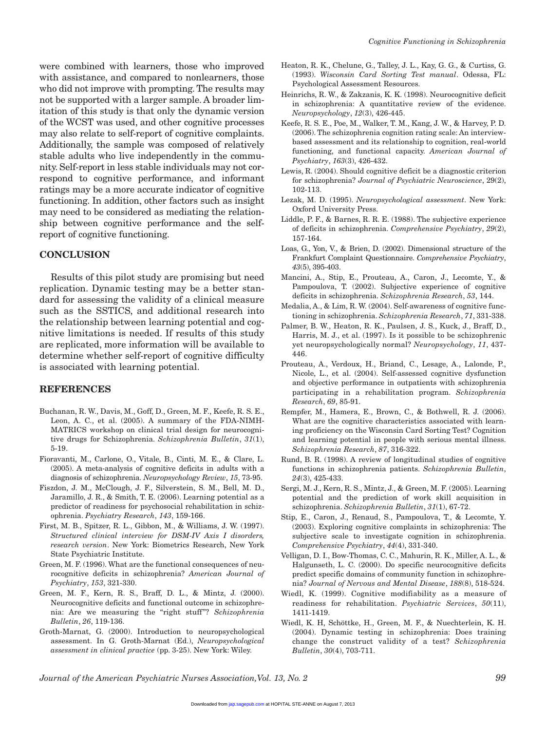were combined with learners, those who improved with assistance, and compared to nonlearners, those who did not improve with prompting. The results may not be supported with a larger sample. A broader limitation of this study is that only the dynamic version of the WCST was used, and other cognitive processes may also relate to self-report of cognitive complaints. Additionally, the sample was composed of relatively stable adults who live independently in the community. Self-report in less stable individuals may not correspond to cognitive performance, and informant ratings may be a more accurate indicator of cognitive functioning. In addition, other factors such as insight may need to be considered as mediating the relationship between cognitive performance and the selfreport of cognitive functioning.

#### **CONCLUSION**

Results of this pilot study are promising but need replication. Dynamic testing may be a better standard for assessing the validity of a clinical measure such as the SSTICS, and additional research into the relationship between learning potential and cognitive limitations is needed. If results of this study are replicated, more information will be available to determine whether self-report of cognitive difficulty is associated with learning potential.

#### **REFERENCES**

- Buchanan, R. W., Davis, M., Goff, D., Green, M. F., Keefe, R. S. E., Leon, A. C., et al. (2005). A summary of the FDA-NIMH-MATRICS workshop on clinical trial design for neurocognitive drugs for Schizophrenia. *Schizophrenia Bulletin*, *31*(1), 5-19.
- Fioravanti, M., Carlone, O., Vitale, B., Cinti, M. E., & Clare, L. (2005). A meta-analysis of cognitive deficits in adults with a diagnosis of schizophrenia. *Neuropsychology Review*, *15*, 73-95.
- Fiszdon, J. M., McClough, J. F., Silverstein, S. M., Bell, M. D., Jaramillo, J. R., & Smith, T. E. (2006). Learning potential as a predictor of readiness for psychosocial rehabilitation in schizophrenia. *Psychiatry Research*, *143*, 159-166.
- First, M. B., Spitzer, R. L., Gibbon, M., & Williams, J. W. (1997). *Structured clinical interview for DSM-IV Axis I disorders, research version*. New York: Biometrics Research, New York State Psychiatric Institute.
- Green, M. F. (1996). What are the functional consequences of neurocognitive deficits in schizophrenia? *American Journal of Psychiatry*, *153*, 321-330.
- Green, M. F., Kern, R. S., Braff, D. L., & Mintz, J. (2000). Neurocognitive deficits and functional outcome in schizophrenia: Are we measuring the "right stuff"? *Schizophrenia Bulletin*, *26*, 119-136.
- Groth-Marnat, G. (2000). Introduction to neuropsychological assessment. In G. Groth-Marnat (Ed.), *Neuropsychological assessment in clinical practice* (pp. 3-25). New York: Wiley.
- Heaton, R. K., Chelune, G., Talley, J. L., Kay, G. G., & Curtiss, G. (1993). *Wisconsin Card Sorting Test manual*. Odessa, FL: Psychological Assessment Resources.
- Heinrichs, R. W., & Zakzanis, K. K. (1998). Neurocognitive deficit in schizophrenia: A quantitative review of the evidence. *Neuropsychology*, *12*(3), 426-445.
- Keefe, R. S. E., Poe, M., Walker, T. M., Kang, J. W., & Harvey, P. D. (2006). The schizophrenia cognition rating scale: An interviewbased assessment and its relationship to cognition, real-world functioning, and functional capacity. *American Journal of Psychiatry*, *163*(3), 426-432.
- Lewis, R. (2004). Should cognitive deficit be a diagnostic criterion for schizophrenia? *Journal of Psychiatric Neuroscience*, 29(2), 102-113.
- Lezak, M. D. (1995). *Neuropsychological assessment*. New York: Oxford University Press.
- Liddle, P. F., & Barnes, R. R. E. (1988). The subjective experience of deficits in schizophrenia. *Comprehensive Psychiatry*, *29*(2), 157-164.
- Loas, G., Yon, V., & Brien, D. (2002). Dimensional structure of the Frankfurt Complaint Questionnaire. *Comprehensive Psychiatry*, *43*(5), 395-403.
- Mancini, A., Stip, E., Prouteau, A., Caron, J., Lecomte, Y., & Pampoulova, T. (2002). Subjective experience of cognitive deficits in schizophrenia. *Schizophrenia Research*, *53*, 144.
- Medalia, A., & Lim, R. W. (2004). Self-awareness of cognitive functioning in schizophrenia. *Schizophrenia Research*, *71*, 331-338.
- Palmer, B. W., Heaton, R. K., Paulsen, J. S., Kuck, J., Braff, D., Harris, M. J., et al. (1997). Is it possible to be schizophrenic yet neuropsychologically normal? *Neuropsychology*, *11*, 437- 446.
- Prouteau, A., Verdoux, H., Briand, C., Lesage, A., Lalonde, P., Nicole, L., et al. (2004). Self-assessed cognitive dysfunction and objective performance in outpatients with schizophrenia participating in a rehabilitation program. *Schizophrenia Research*, *69*, 85-91.
- Rempfer, M., Hamera, E., Brown, C., & Bothwell, R. J. (2006). What are the cognitive characteristics associated with learning proficiency on the Wisconsin Card Sorting Test? Cognition and learning potential in people with serious mental illness. *Schizophrenia Research*, *87*, 316-322.
- Rund, B. R. (1998). A review of longitudinal studies of cognitive functions in schizophrenia patients. *Schizophrenia Bulletin*, *24*(3), 425-433.
- Sergi, M. J., Kern, R. S., Mintz, J., & Green, M. F. (2005). Learning potential and the prediction of work skill acquisition in schizophrenia. *Schizophrenia Bulletin*, *31*(1), 67-72.
- Stip, E., Caron, J., Renaud, S., Pampoulova, T., & Lecomte, Y. (2003). Exploring cognitive complaints in schizophrenia: The subjective scale to investigate cognition in schizophrenia. *Comprehensive Psychiatry*, *44*(4), 331-340.
- Velligan, D. I., Bow-Thomas, C. C., Mahurin, R. K., Miller, A. L., & Halgunseth, L. C. (2000). Do specific neurocognitive deficits predict specific domains of community function in schizophrenia? *Journal of Nervous and Mental Disease*, *188*(8), 518-524.
- Wiedl, K. (1999). Cognitive modifiability as a measure of readiness for rehabilitation. *Psychiatric Services*, *50*(11), 1411-1419.
- Wiedl, K. H, Schöttke, H., Green, M. F., & Nuechterlein, K. H. (2004). Dynamic testing in schizophrenia: Does training change the construct validity of a test? *Schizophrenia Bulletin*, *30*(4), 703-711.

*Journal of the American Psychiatric Nurses Association,Vol. 13, No. 2 99*